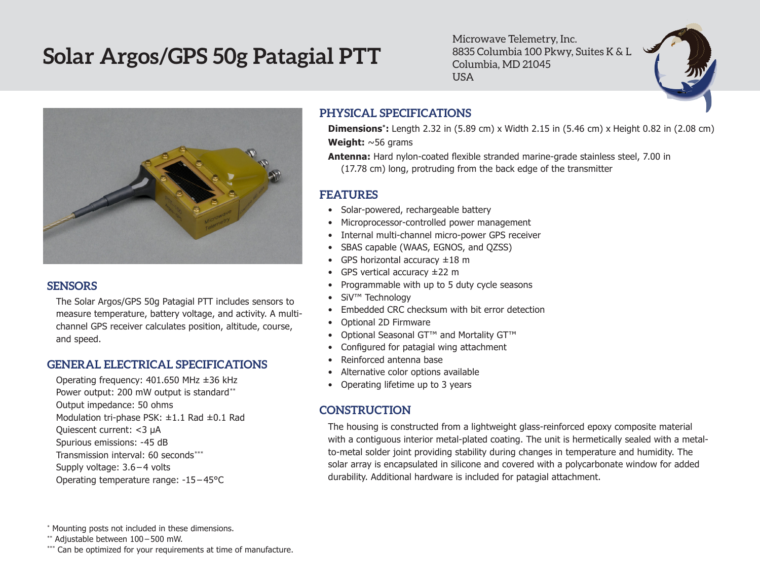# **Solar Argos/GPS 50g Patagial PTT**

Microwave Telemetry, Inc. 8835 Columbia 100 Pkwy, Suites K & L Columbia, MD 21045 USA



#### **SENSORS**

The Solar Argos/GPS 50g Patagial PTT includes sensors to measure temperature, battery voltage, and activity. A multichannel GPS receiver calculates position, altitude, course, and speed.

# **GENERAL ELECTRICAL SPECIFICATIONS**

Operating frequency: 401.650 MHz ±36 kHz Power output: 200 mW output is standard\*\* Output impedance: 50 ohms Modulation tri-phase PSK: ±1.1 Rad ±0.1 Rad Quiescent current: <3 µA Spurious emissions: -45 dB Transmission interval: 60 seconds\*\*\* Supply voltage: 3.6 – 4 volts Operating temperature range: -15 – 45°C

# **PHYSICAL SPECIFICATIONS**

**Dimensions\*:** Length 2.32 in (5.89 cm) x Width 2.15 in (5.46 cm) x Height 0.82 in (2.08 cm) **Weight:** ~56 grams

**Antenna:** Hard nylon-coated flexible stranded marine-grade stainless steel, 7.00 in (17.78 cm) long, protruding from the back edge of the transmitter

### **FEATURES**

- Solar-powered, rechargeable battery
- Microprocessor-controlled power management
- Internal multi-channel micro-power GPS receiver
- • SBAS capable (WAAS, EGNOS, and QZSS)
- GPS horizontal accuracy  $\pm 18$  m
- GPS vertical accuracy ±22 m
- • Programmable with up to 5 duty cycle seasons
- SiV<sup>™</sup> Technology
- Embedded CRC checksum with bit error detection
- • Optional 2D Firmware
- • Optional Seasonal GT™ and Mortality GT™
- • Configured for patagial wing attachment
- • Reinforced antenna base
- Alternative color options available
- Operating lifetime up to 3 years

# **CONSTRUCTION**

The housing is constructed from a lightweight glass-reinforced epoxy composite material with a contiguous interior metal-plated coating. The unit is hermetically sealed with a metalto-metal solder joint providing stability during changes in temperature and humidity. The solar array is encapsulated in silicone and covered with a polycarbonate window for added durability. Additional hardware is included for patagial attachment.

\*\* Adjustable between 100 – 500 mW.

<sup>\*</sup> Mounting posts not included in these dimensions.

<sup>\*\*\*</sup> Can be optimized for your requirements at time of manufacture.